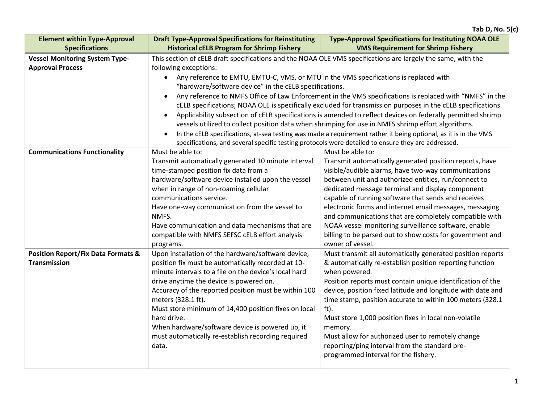| <b>Element within Type-Approval</b><br><b>Specifications</b>         | <b>Draft Type-Approval Specifications for Reinstituting</b><br><b>Historical cELB Program for Shrimp Fishery</b>                                                                                                                                                                                                                                                                                                                                                                                                                                                                                                                                                                                                                                                                                                                                                                                                                                                                             | <b>Type-Approval Specifications for Instituting NOAA OLE</b><br><b>VMS Requirement for Shrimp Fishery</b>                                                                                                                                                                                                                                                                                                                                                                                                                                                           |  |
|----------------------------------------------------------------------|----------------------------------------------------------------------------------------------------------------------------------------------------------------------------------------------------------------------------------------------------------------------------------------------------------------------------------------------------------------------------------------------------------------------------------------------------------------------------------------------------------------------------------------------------------------------------------------------------------------------------------------------------------------------------------------------------------------------------------------------------------------------------------------------------------------------------------------------------------------------------------------------------------------------------------------------------------------------------------------------|---------------------------------------------------------------------------------------------------------------------------------------------------------------------------------------------------------------------------------------------------------------------------------------------------------------------------------------------------------------------------------------------------------------------------------------------------------------------------------------------------------------------------------------------------------------------|--|
| <b>Vessel Monitoring System Type-</b><br><b>Approval Process</b>     | This section of cELB draft specifications and the NOAA OLE VMS specifications are largely the same, with the<br>following exceptions:<br>Any reference to EMTU, EMTU-C, VMS, or MTU in the VMS specifications is replaced with<br>$\bullet$<br>"hardware/software device" in the cELB specifications.<br>Any reference to NMFS Office of Law Enforcement in the VMS specifications is replaced with "NMFS" in the<br>cELB specifications; NOAA OLE is specifically excluded for transmission purposes in the cELB specifications.<br>Applicability subsection of cELB specifications is amended to reflect devices on federally permitted shrimp<br>$\bullet$<br>vessels utilized to collect position data when shrimping for use in NMFS shrimp effort algorithms.<br>In the cELB specifications, at-sea testing was made a requirement rather it being optional, as it is in the VMS<br>specifications, and several specific testing protocols were detailed to ensure they are addressed. |                                                                                                                                                                                                                                                                                                                                                                                                                                                                                                                                                                     |  |
| <b>Communications Functionality</b>                                  | Must be able to:<br>Transmit automatically generated 10 minute interval<br>time-stamped position fix data from a<br>hardware/software device installed upon the vessel<br>when in range of non-roaming cellular<br>communications service.<br>Have one-way communication from the vessel to<br>NMFS.<br>Have communication and data mechanisms that are<br>compatible with NMFS SEFSC cELB effort analysis<br>programs.                                                                                                                                                                                                                                                                                                                                                                                                                                                                                                                                                                      | Must be able to:<br>Transmit automatically generated position reports, have<br>visible/audible alarms, have two-way communications<br>between unit and authorized entities, run/connect to<br>dedicated message terminal and display component<br>capable of running software that sends and receives<br>electronic forms and internet email messages, messaging<br>and communications that are completely compatible with<br>NOAA vessel monitoring surveillance software, enable<br>billing to be parsed out to show costs for government and<br>owner of vessel. |  |
| <b>Position Report/Fix Data Formats &amp;</b><br><b>Transmission</b> | Upon installation of the hardware/software device,<br>position fix must be automatically recorded at 10-<br>minute intervals to a file on the device's local hard<br>drive anytime the device is powered on.<br>Accuracy of the reported position must be within 100<br>meters (328.1 ft).<br>Must store minimum of 14,400 position fixes on local<br>hard drive.<br>When hardware/software device is powered up, it<br>must automatically re-establish recording required<br>data.                                                                                                                                                                                                                                                                                                                                                                                                                                                                                                          | Must transmit all automatically generated position reports<br>& automatically re-establish position reporting function<br>when powered.<br>Position reports must contain unique identification of the<br>device, position fixed latitude and longitude with date and<br>time stamp, position accurate to within 100 meters (328.1)<br>ft).<br>Must store 1,000 position fixes in local non-volatile<br>memory.<br>Must allow for authorized user to remotely change<br>reporting/ping interval from the standard pre-<br>programmed interval for the fishery.       |  |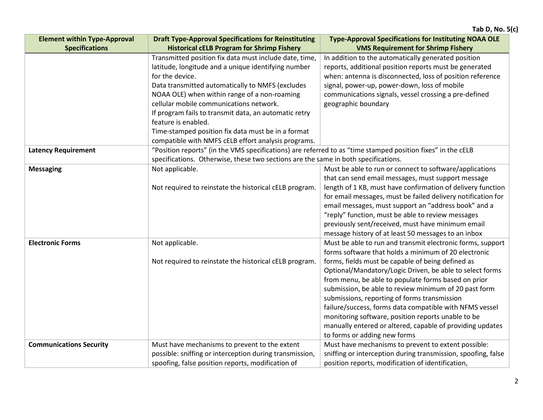| <b>Element within Type-Approval</b> | <b>Draft Type-Approval Specifications for Reinstituting</b>                                                 | <b>Type-Approval Specifications for Instituting NOAA OLE</b>  |  |
|-------------------------------------|-------------------------------------------------------------------------------------------------------------|---------------------------------------------------------------|--|
| <b>Specifications</b>               | <b>Historical cELB Program for Shrimp Fishery</b>                                                           | <b>VMS Requirement for Shrimp Fishery</b>                     |  |
|                                     | Transmitted position fix data must include date, time,                                                      | In addition to the automatically generated position           |  |
|                                     | latitude, longitude and a unique identifying number                                                         | reports, additional position reports must be generated        |  |
|                                     | for the device.                                                                                             | when: antenna is disconnected, loss of position reference     |  |
|                                     | Data transmitted automatically to NMFS (excludes                                                            | signal, power-up, power-down, loss of mobile                  |  |
|                                     | NOAA OLE) when within range of a non-roaming                                                                | communications signals, vessel crossing a pre-defined         |  |
|                                     | cellular mobile communications network.                                                                     | geographic boundary                                           |  |
|                                     | If program fails to transmit data, an automatic retry                                                       |                                                               |  |
|                                     | feature is enabled.                                                                                         |                                                               |  |
|                                     | Time-stamped position fix data must be in a format                                                          |                                                               |  |
|                                     | compatible with NMFS cELB effort analysis programs.                                                         |                                                               |  |
| <b>Latency Requirement</b>          | "Position reports" (in the VMS specifications) are referred to as "time stamped position fixes" in the cELB |                                                               |  |
|                                     | specifications. Otherwise, these two sections are the same in both specifications.                          |                                                               |  |
| <b>Messaging</b>                    | Not applicable.                                                                                             | Must be able to run or connect to software/applications       |  |
|                                     |                                                                                                             | that can send email messages, must support message            |  |
|                                     | Not required to reinstate the historical cELB program.                                                      | length of 1 KB, must have confirmation of delivery function   |  |
|                                     |                                                                                                             | for email messages, must be failed delivery notification for  |  |
|                                     |                                                                                                             | email messages, must support an "address book" and a          |  |
|                                     |                                                                                                             | "reply" function, must be able to review messages             |  |
|                                     |                                                                                                             | previously sent/received, must have minimum email             |  |
|                                     |                                                                                                             | message history of at least 50 messages to an inbox           |  |
| <b>Electronic Forms</b>             | Not applicable.                                                                                             | Must be able to run and transmit electronic forms, support    |  |
|                                     |                                                                                                             | forms software that holds a minimum of 20 electronic          |  |
|                                     | Not required to reinstate the historical cELB program.                                                      | forms, fields must be capable of being defined as             |  |
|                                     |                                                                                                             | Optional/Mandatory/Logic Driven, be able to select forms      |  |
|                                     |                                                                                                             | from menu, be able to populate forms based on prior           |  |
|                                     |                                                                                                             | submission, be able to review minimum of 20 past form         |  |
|                                     |                                                                                                             | submissions, reporting of forms transmission                  |  |
|                                     |                                                                                                             | failure/success, forms data compatible with NFMS vessel       |  |
|                                     |                                                                                                             | monitoring software, position reports unable to be            |  |
|                                     |                                                                                                             | manually entered or altered, capable of providing updates     |  |
|                                     |                                                                                                             | to forms or adding new forms                                  |  |
| <b>Communications Security</b>      | Must have mechanisms to prevent to the extent                                                               | Must have mechanisms to prevent to extent possible:           |  |
|                                     | possible: sniffing or interception during transmission,                                                     | sniffing or interception during transmission, spoofing, false |  |
|                                     | spoofing, false position reports, modification of                                                           | position reports, modification of identification,             |  |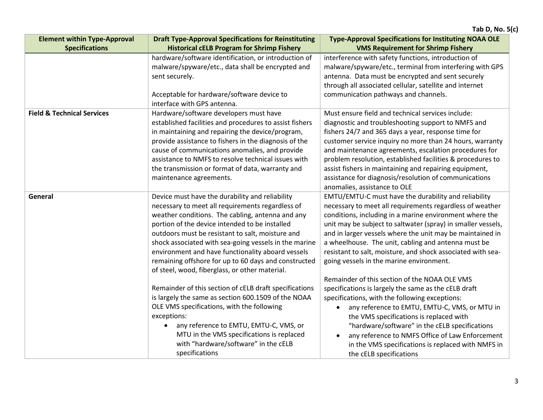| <b>Element within Type-Approval</b>   | <b>Draft Type-Approval Specifications for Reinstituting</b> | <b>Type-Approval Specifications for Instituting NOAA OLE</b> |
|---------------------------------------|-------------------------------------------------------------|--------------------------------------------------------------|
| <b>Specifications</b>                 | <b>Historical cELB Program for Shrimp Fishery</b>           | <b>VMS Requirement for Shrimp Fishery</b>                    |
|                                       | hardware/software identification, or introduction of        | interference with safety functions, introduction of          |
|                                       | malware/spyware/etc., data shall be encrypted and           | malware/spyware/etc., terminal from interfering with GPS     |
|                                       | sent securely.                                              | antenna. Data must be encrypted and sent securely            |
|                                       |                                                             | through all associated cellular, satellite and internet      |
|                                       | Acceptable for hardware/software device to                  | communication pathways and channels.                         |
|                                       | interface with GPS antenna.                                 |                                                              |
| <b>Field &amp; Technical Services</b> | Hardware/software developers must have                      | Must ensure field and technical services include:            |
|                                       | established facilities and procedures to assist fishers     | diagnostic and troubleshooting support to NMFS and           |
|                                       | in maintaining and repairing the device/program,            | fishers 24/7 and 365 days a year, response time for          |
|                                       | provide assistance to fishers in the diagnosis of the       | customer service inquiry no more than 24 hours, warranty     |
|                                       | cause of communications anomalies, and provide              | and maintenance agreements, escalation procedures for        |
|                                       | assistance to NMFS to resolve technical issues with         | problem resolution, established facilities & procedures to   |
|                                       | the transmission or format of data, warranty and            | assist fishers in maintaining and repairing equipment,       |
|                                       | maintenance agreements.                                     | assistance for diagnosis/resolution of communications        |
|                                       |                                                             | anomalies, assistance to OLE                                 |
| General                               | Device must have the durability and reliability             | EMTU/EMTU-C must have the durability and reliability         |
|                                       | necessary to meet all requirements regardless of            | necessary to meet all requirements regardless of weather     |
|                                       | weather conditions. The cabling, antenna and any            | conditions, including in a marine environment where the      |
|                                       | portion of the device intended to be installed              | unit may be subject to saltwater (spray) in smaller vessels, |
|                                       | outdoors must be resistant to salt, moisture and            | and in larger vessels where the unit may be maintained in    |
|                                       | shock associated with sea-going vessels in the marine       | a wheelhouse. The unit, cabling and antenna must be          |
|                                       | environment and have functionality aboard vessels           | resistant to salt, moisture, and shock associated with sea-  |
|                                       | remaining offshore for up to 60 days and constructed        | going vessels in the marine environment.                     |
|                                       | of steel, wood, fiberglass, or other material.              |                                                              |
|                                       |                                                             | Remainder of this section of the NOAA OLE VMS                |
|                                       | Remainder of this section of cELB draft specifications      | specifications is largely the same as the cELB draft         |
|                                       | is largely the same as section 600.1509 of the NOAA         | specifications, with the following exceptions:               |
|                                       | OLE VMS specifications, with the following                  | any reference to EMTU, EMTU-C, VMS, or MTU in                |
|                                       | exceptions:                                                 | the VMS specifications is replaced with                      |
|                                       | any reference to EMTU, EMTU-C, VMS, or                      | "hardware/software" in the cELB specifications               |
|                                       | MTU in the VMS specifications is replaced                   | any reference to NMFS Office of Law Enforcement<br>$\bullet$ |
|                                       | with "hardware/software" in the cELB                        | in the VMS specifications is replaced with NMFS in           |
|                                       | specifications                                              | the cELB specifications                                      |